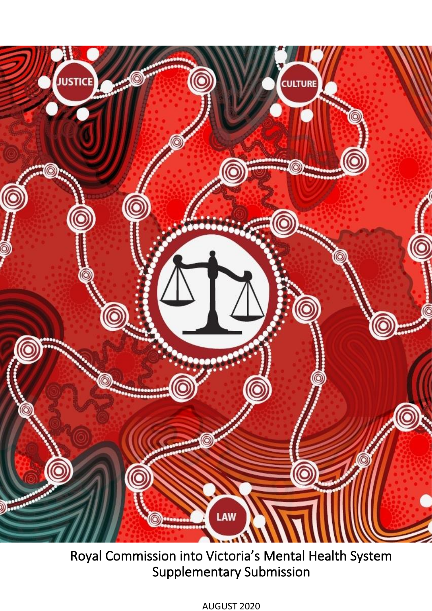

Royal Commission into Victoria's Mental Health System Supplementary Submission

AUGUST 2020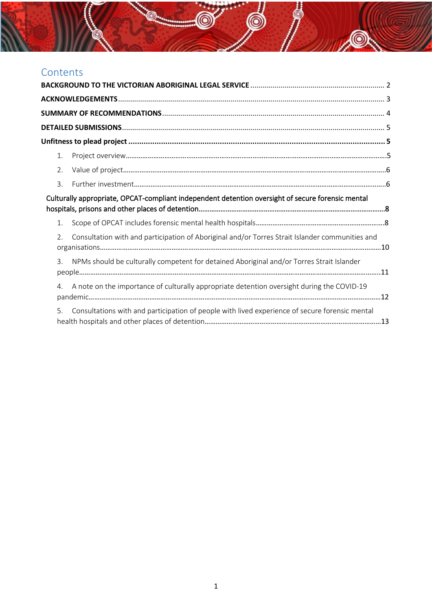# Contents

| 1.               |                                                                                                   |  |
|------------------|---------------------------------------------------------------------------------------------------|--|
| 2.               |                                                                                                   |  |
| 3.               |                                                                                                   |  |
|                  | Culturally appropriate, OPCAT-compliant independent detention oversight of secure forensic mental |  |
| 1.               |                                                                                                   |  |
| $\mathfrak{D}$ . | Consultation with and participation of Aboriginal and/or Torres Strait Islander communities and   |  |
| $\overline{3}$ . | NPMs should be culturally competent for detained Aboriginal and/or Torres Strait Islander         |  |
| 4.               | A note on the importance of culturally appropriate detention oversight during the COVID-19        |  |
| 5.               | Consultations with and participation of people with lived experience of secure forensic mental    |  |

P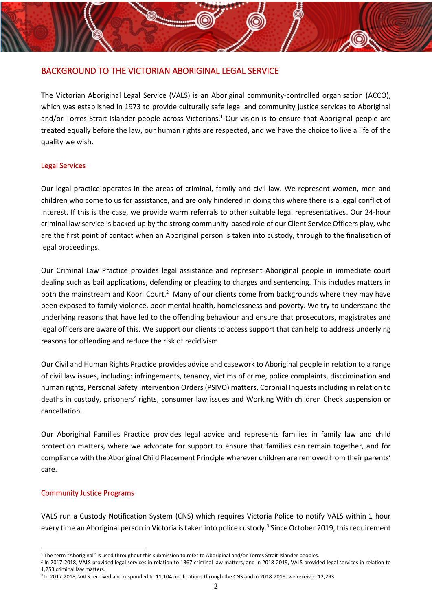### <span id="page-2-0"></span>BACKGROUND TO THE VICTORIAN ABORIGINAL LEGAL SERVICE

The Victorian Aboriginal Legal Service (VALS) is an Aboriginal community-controlled organisation (ACCO), which was established in 1973 to provide culturally safe legal and community justice services to Aboriginal and/or Torres Strait Islander people across Victorians.<sup>1</sup> Our vision is to ensure that Aboriginal people are treated equally before the law, our human rights are respected, and we have the choice to live a life of the quality we wish.

### Legal Services

Our legal practice operates in the areas of criminal, family and civil law. We represent women, men and children who come to us for assistance, and are only hindered in doing this where there is a legal conflict of interest. If this is the case, we provide warm referrals to other suitable legal representatives. Our 24-hour criminal law service is backed up by the strong community-based role of our Client Service Officers play, who are the first point of contact when an Aboriginal person is taken into custody, through to the finalisation of legal proceedings.

Our Criminal Law Practice provides legal assistance and represent Aboriginal people in immediate court dealing such as bail applications, defending or pleading to charges and sentencing. This includes matters in both the mainstream and Koori Court.<sup>2</sup> Many of our clients come from backgrounds where they may have been exposed to family violence, poor mental health, homelessness and poverty. We try to understand the underlying reasons that have led to the offending behaviour and ensure that prosecutors, magistrates and legal officers are aware of this. We support our clients to access support that can help to address underlying reasons for offending and reduce the risk of recidivism.

Our Civil and Human Rights Practice provides advice and casework to Aboriginal people in relation to a range of civil law issues, including: infringements, tenancy, victims of crime, police complaints, discrimination and human rights, Personal Safety Intervention Orders (PSIVO) matters, Coronial Inquests including in relation to deaths in custody, prisoners' rights, consumer law issues and Working With children Check suspension or cancellation.

Our Aboriginal Families Practice provides legal advice and represents families in family law and child protection matters, where we advocate for support to ensure that families can remain together, and for compliance with the Aboriginal Child Placement Principle wherever children are removed from their parents' care.

### Community Justice Programs

VALS run a Custody Notification System (CNS) which requires Victoria Police to notify VALS within 1 hour every time an Aboriginal person in Victoria is taken into police custody.<sup>3</sup> Since October 2019, this requirement

<sup>&</sup>lt;sup>1</sup> The term "Aboriginal" is used throughout this submission to refer to Aboriginal and/or Torres Strait Islander peoples.

<sup>&</sup>lt;sup>2</sup> In 2017-2018, VALS provided legal services in relation to 1367 criminal law matters, and in 2018-2019, VALS provided legal services in relation to 1,253 criminal law matters.

<sup>3</sup> In 2017-2018, VALS received and responded to 11,104 notifications through the CNS and in 2018-2019, we received 12,293.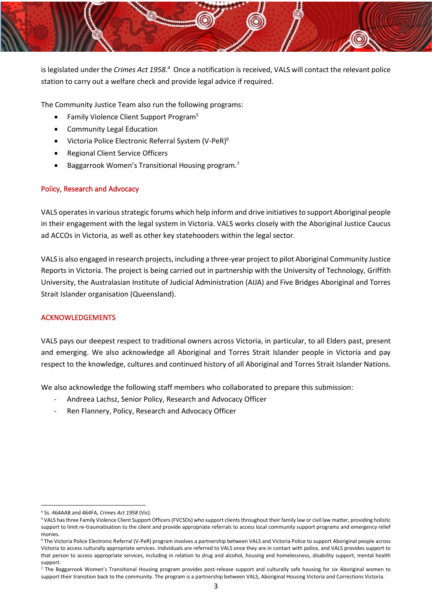

is legislated under the *Crimes Act 1958.<sup>4</sup>* Once a notification is received, VALS will contact the relevant police station to carry out a welfare check and provide legal advice if required.

The Community Justice Team also run the following programs:

- Family Violence Client Support Program<sup>5</sup>
- Community Legal Education
- Victoria Police Electronic Referral System (V-PeR)<sup>6</sup>
- Regional Client Service Officers
- Baggarrook Women's Transitional Housing program.<sup>7</sup>

### Policy, Research and Advocacy

VALS operatesin various strategic forums which help inform and drive initiatives to support Aboriginal people in their engagement with the legal system in Victoria. VALS works closely with the Aboriginal Justice Caucus ad ACCOs in Victoria, as well as other key statehooders within the legal sector.

VALS is also engaged in research projects, including a three-year project to pilot Aboriginal Community Justice Reports in Victoria. The project is being carried out in partnership with the University of Technology, Griffith University, the Australasian Institute of Judicial Administration (AIJA) and Five Bridges Aboriginal and Torres Strait Islander organisation (Queensland).

### <span id="page-3-0"></span>ACKNOWLEDGEMENTS

VALS pays our deepest respect to traditional owners across Victoria, in particular, to all Elders past, present and emerging. We also acknowledge all Aboriginal and Torres Strait Islander people in Victoria and pay respect to the knowledge, cultures and continued history of all Aboriginal and Torres Strait Islander Nations.

We also acknowledge the following staff members who collaborated to prepare this submission:

- Andreea Lachsz, Senior Policy, Research and Advocacy Officer
- Ren Flannery, Policy, Research and Advocacy Officer

<sup>4</sup> Ss. 464AAB and 464FA, *Crimes Act 1958* (Vic).

<sup>5</sup> VALS has three Family Violence Client Support Officers (FVCSOs) who support clients throughout their family law or civil law matter, providing holistic support to limit re-traumatisation to the client and provide appropriate referrals to access local community support programs and emergency relief monies.

<sup>6</sup> The Victoria Police Electronic Referral (V-PeR) program involves a partnership between VALS and Victoria Police to support Aboriginal people across Victoria to access culturally appropriate services. Individuals are referred to VALS once they are in contact with police, and VALS provides support to that person to access appropriate services, including in relation to drug and alcohol, housing and homelessness, disability support, mental health support.

<sup>&</sup>lt;sup>7</sup> The Baggarrook Women's Transitional Housing program provides post-release support and culturally safe housing for six Aboriginal women to support their transition back to the community. The program is a partnership between VALS, Aboriginal Housing Victoria and Corrections Victoria.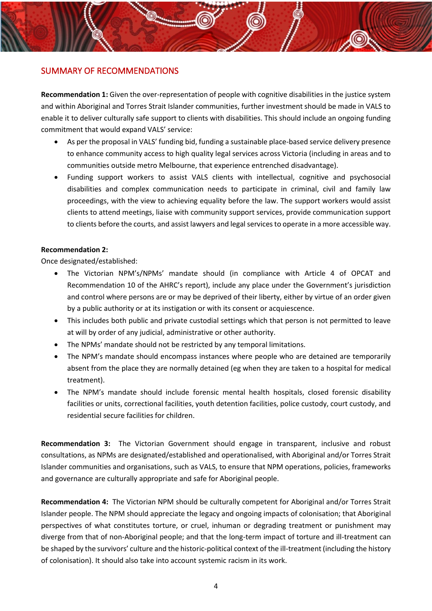### <span id="page-4-0"></span>SUMMARY OF RECOMMENDATIONS

**Recommendation 1:** Given the over-representation of people with cognitive disabilities in the justice system and within Aboriginal and Torres Strait Islander communities, further investment should be made in VALS to enable it to deliver culturally safe support to clients with disabilities. This should include an ongoing funding commitment that would expand VALS' service:

- As per the proposal in VALS' funding bid, funding a sustainable place-based service delivery presence to enhance community access to high quality legal services across Victoria (including in areas and to communities outside metro Melbourne, that experience entrenched disadvantage).
- Funding support workers to assist VALS clients with intellectual, cognitive and psychosocial disabilities and complex communication needs to participate in criminal, civil and family law proceedings, with the view to achieving equality before the law. The support workers would assist clients to attend meetings, liaise with community support services, provide communication support to clients before the courts, and assist lawyers and legal services to operate in a more accessible way.

### **Recommendation 2:**

Once designated/established:

- The Victorian NPM's/NPMs' mandate should (in compliance with Article 4 of OPCAT and Recommendation 10 of the AHRC's report), include any place under the Government's jurisdiction and control where persons are or may be deprived of their liberty, either by virtue of an order given by a public authority or at its instigation or with its consent or acquiescence.
- This includes both public and private custodial settings which that person is not permitted to leave at will by order of any judicial, administrative or other authority.
- The NPMs' mandate should not be restricted by any temporal limitations.
- The NPM's mandate should encompass instances where people who are detained are temporarily absent from the place they are normally detained (eg when they are taken to a hospital for medical treatment).
- The NPM's mandate should include forensic mental health hospitals, closed forensic disability facilities or units, correctional facilities, youth detention facilities, police custody, court custody, and residential secure facilities for children.

**Recommendation 3:** The Victorian Government should engage in transparent, inclusive and robust consultations, as NPMs are designated/established and operationalised, with Aboriginal and/or Torres Strait Islander communities and organisations, such as VALS, to ensure that NPM operations, policies, frameworks and governance are culturally appropriate and safe for Aboriginal people.

**Recommendation 4:** The Victorian NPM should be culturally competent for Aboriginal and/or Torres Strait Islander people. The NPM should appreciate the legacy and ongoing impacts of colonisation; that Aboriginal perspectives of what constitutes torture, or cruel, inhuman or degrading treatment or punishment may diverge from that of non-Aboriginal people; and that the long-term impact of torture and ill-treatment can be shaped by the survivors' culture and the historic-political context of the ill-treatment (including the history of colonisation). It should also take into account systemic racism in its work.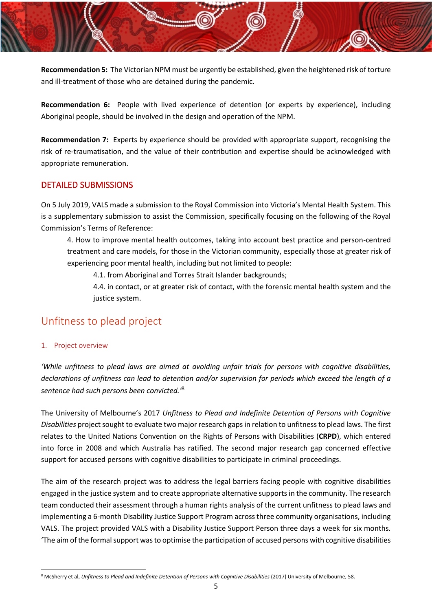**Recommendation 5:** The Victorian NPM must be urgently be established, given the heightened risk of torture and ill-treatment of those who are detained during the pandemic.

**Recommendation 6:** People with lived experience of detention (or experts by experience), including Aboriginal people, should be involved in the design and operation of the NPM.

**Recommendation 7:** Experts by experience should be provided with appropriate support, recognising the risk of re-traumatisation, and the value of their contribution and expertise should be acknowledged with appropriate remuneration.

## <span id="page-5-0"></span>DETAILED SUBMISSIONS

On 5 July 2019, VALS made a submission to the Royal Commission into Victoria's Mental Health System. This is a supplementary submission to assist the Commission, specifically focusing on the following of the Royal Commission's Terms of Reference:

4. How to improve mental health outcomes, taking into account best practice and person-centred treatment and care models, for those in the Victorian community, especially those at greater risk of experiencing poor mental health, including but not limited to people:

4.1. from Aboriginal and Torres Strait Islander backgrounds;

4.4. in contact, or at greater risk of contact, with the forensic mental health system and the justice system.

# <span id="page-5-1"></span>Unfitness to plead project

### <span id="page-5-2"></span>1. Project overview

*'While unfitness to plead laws are aimed at avoiding unfair trials for persons with cognitive disabilities, declarations of unfitness can lead to detention and/or supervision for periods which exceed the length of a sentence had such persons been convicted.'* 8

The University of Melbourne's 2017 *Unfitness to Plead and Indefinite Detention of Persons with Cognitive Disabilities* project sought to evaluate two major research gaps in relation to unfitness to plead laws. The first relates to the United Nations Convention on the Rights of Persons with Disabilities (**CRPD**), which entered into force in 2008 and which Australia has ratified. The second major research gap concerned effective support for accused persons with cognitive disabilities to participate in criminal proceedings.

The aim of the research project was to address the legal barriers facing people with cognitive disabilities engaged in the justice system and to create appropriate alternative supports in the community. The research team conducted their assessment through a human rights analysis of the current unfitness to plead laws and implementing a 6-month Disability Justice Support Program across three community organisations, including VALS. The project provided VALS with a Disability Justice Support Person three days a week for six months. 'The aim of the formal support was to optimise the participation of accused persons with cognitive disabilities

<sup>8</sup> McSherry et al, *Unfitness to Plead and Indefinite Detention of Persons with Cognitive Disabilities* (2017) University of Melbourne, 58.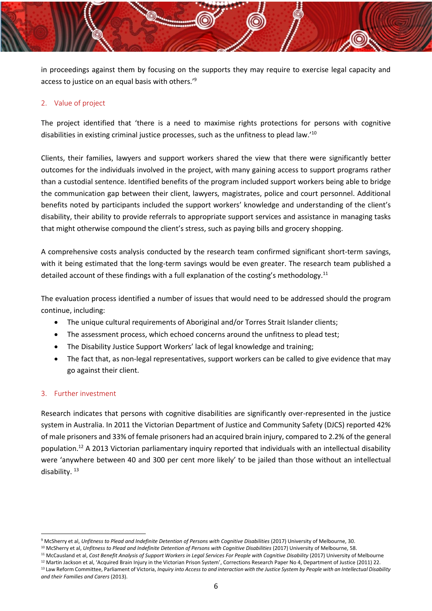in proceedings against them by focusing on the supports they may require to exercise legal capacity and access to justice on an equal basis with others.' 9

### <span id="page-6-0"></span>2. Value of project

The project identified that 'there is a need to maximise rights protections for persons with cognitive disabilities in existing criminal justice processes, such as the unfitness to plead law.'<sup>10</sup>

Clients, their families, lawyers and support workers shared the view that there were significantly better outcomes for the individuals involved in the project, with many gaining access to support programs rather than a custodial sentence. Identified benefits of the program included support workers being able to bridge the communication gap between their client, lawyers, magistrates, police and court personnel. Additional benefits noted by participants included the support workers' knowledge and understanding of the client's disability, their ability to provide referrals to appropriate support services and assistance in managing tasks that might otherwise compound the client's stress, such as paying bills and grocery shopping.

A comprehensive costs analysis conducted by the research team confirmed significant short-term savings, with it being estimated that the long-term savings would be even greater. The research team published a detailed account of these findings with a full explanation of the costing's methodology.<sup>11</sup>

The evaluation process identified a number of issues that would need to be addressed should the program continue, including:

- The unique cultural requirements of Aboriginal and/or Torres Strait Islander clients;
- The assessment process, which echoed concerns around the unfitness to plead test;
- The Disability Justice Support Workers' lack of legal knowledge and training;
- The fact that, as non-legal representatives, support workers can be called to give evidence that may go against their client.

### <span id="page-6-1"></span>3. Further investment

Research indicates that persons with cognitive disabilities are significantly over-represented in the justice system in Australia. In 2011 the Victorian Department of Justice and Community Safety (DJCS) reported 42% of male prisoners and 33% of female prisoners had an acquired brain injury, compared to 2.2% of the general population.<sup>12</sup> A 2013 Victorian parliamentary inquiry reported that individuals with an intellectual disability were 'anywhere between 40 and 300 per cent more likely' to be jailed than those without an intellectual disability.<sup>13</sup>

<sup>13</sup> Law Reform Committee, Parliament of Victoria, *Inquiry into Access to and interaction with the Justice System by People with an Intellectual Disability and their Families and Carers* (2013).

<sup>&</sup>lt;sup>9</sup> McSherry et al, *Unfitness to Plead and Indefinite Detention of Persons with Cognitive Disabilities (2017) University of Melbourne, 30.* 

<sup>&</sup>lt;sup>10</sup> McSherry et al, *Unfitness to Plead and Indefinite Detention of Persons with Cognitive Disabilities (2017) University of Melbourne, 58.* 

<sup>11</sup> McCausland et al, *Cost Benefit Analysis of Support Workers in Legal Services For People with Cognitive Disability* (2017) University of Melbourne <sup>12</sup> Martin Jackson et al, 'Acquired Brain Injury in the Victorian Prison System', Corrections Research Paper No 4, Department of Justice (2011) 22.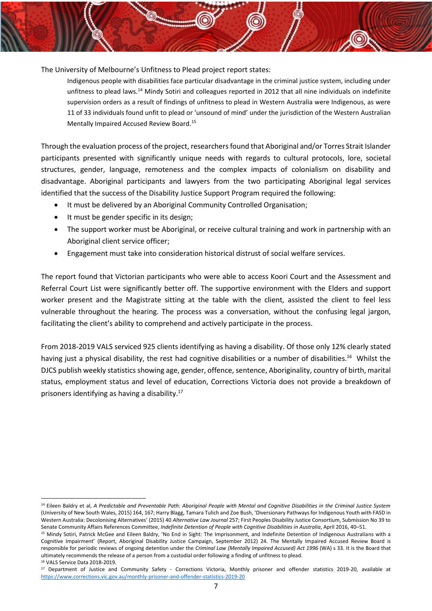The University of Melbourne's Unfitness to Plead project report states:

Indigenous people with disabilities face particular disadvantage in the criminal justice system, including under unfitness to plead laws.<sup>14</sup> Mindy Sotiri and colleagues reported in 2012 that all nine individuals on indefinite supervision orders as a result of findings of unfitness to plead in Western Australia were Indigenous, as were 11 of 33 individuals found unfit to plead or 'unsound of mind' under the jurisdiction of the Western Australian Mentally Impaired Accused Review Board.<sup>15</sup>

Through the evaluation process of the project, researchers found that Aboriginal and/or Torres Strait Islander participants presented with significantly unique needs with regards to cultural protocols, lore, societal structures, gender, language, remoteness and the complex impacts of colonialism on disability and disadvantage. Aboriginal participants and lawyers from the two participating Aboriginal legal services identified that the success of the Disability Justice Support Program required the following:

- It must be delivered by an Aboriginal Community Controlled Organisation;
- It must be gender specific in its design;
- The support worker must be Aboriginal, or receive cultural training and work in partnership with an Aboriginal client service officer;
- Engagement must take into consideration historical distrust of social welfare services.

The report found that Victorian participants who were able to access Koori Court and the Assessment and Referral Court List were significantly better off. The supportive environment with the Elders and support worker present and the Magistrate sitting at the table with the client, assisted the client to feel less vulnerable throughout the hearing. The process was a conversation, without the confusing legal jargon, facilitating the client's ability to comprehend and actively participate in the process.

From 2018-2019 VALS serviced 925 clients identifying as having a disability. Of those only 12% clearly stated having just a physical disability, the rest had cognitive disabilities or a number of disabilities.<sup>16</sup> Whilst the DJCS publish weekly statistics showing age, gender, offence, sentence, Aboriginality, country of birth, marital status, employment status and level of education, Corrections Victoria does not provide a breakdown of prisoners identifying as having a disability.<sup>17</sup>

<sup>14</sup> Eileen Baldry et al, *A Predictable and Preventable Path: Aboriginal People with Mental and Cognitive Disabilities in the Criminal Justice System*  (University of New South Wales, 2015) 164, 167; Harry Blagg, Tamara Tulich and Zoe Bush, 'Diversionary Pathways for Indigenous Youth with FASD in Western Australia: Decolonising Alternatives' (2015) 40 *Alternative Law Journal* 257; First Peoples Disability Justice Consortium, Submission No 39 to Senate Community Affairs References Committee, *Indefinite Detention of People with Cognitive Disabilities in Australia*, April 2016, 40–51.

<sup>15</sup> Mindy Sotiri, Patrick McGee and Eileen Baldry, 'No End in Sight: The Imprisonment, and Indefinite Detention of Indigenous Australians with a Cognitive Impairment' (Report, Aboriginal Disability Justice Campaign, September 2012) 24. The Mentally Impaired Accused Review Board is responsible for periodic reviews of ongoing detention under the *Criminal Law (Mentally Impaired Accused) Act 1996* (WA) s 33. It is the Board that ultimately recommends the release of a person from a custodial order following a finding of unfitness to plead. <sup>16</sup> VALS Service Data 2018-2019.

<sup>&</sup>lt;sup>17</sup> Department of Justice and Community Safety - Corrections Victoria, Monthly prisoner and offender statistics 2019-20, available at <https://www.corrections.vic.gov.au/monthly-prisoner-and-offender-statistics-2019-20>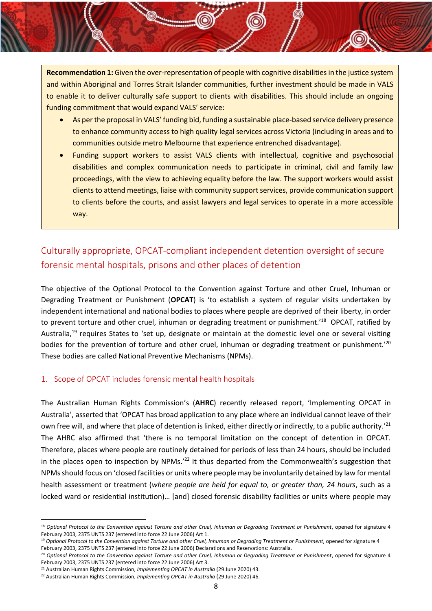**Recommendation 1:** Given the over-representation of people with cognitive disabilities in the justice system and within Aboriginal and Torres Strait Islander communities, further investment should be made in VALS to enable it to deliver culturally safe support to clients with disabilities. This should include an ongoing funding commitment that would expand VALS' service:

- As per the proposal in VALS' funding bid, funding a sustainable place-based service delivery presence to enhance community access to high quality legal services across Victoria (including in areas and to communities outside metro Melbourne that experience entrenched disadvantage).
- Funding support workers to assist VALS clients with intellectual, cognitive and psychosocial disabilities and complex communication needs to participate in criminal, civil and family law proceedings, with the view to achieving equality before the law. The support workers would assist clients to attend meetings, liaise with community support services, provide communication support to clients before the courts, and assist lawyers and legal services to operate in a more accessible way.

# <span id="page-8-0"></span>Culturally appropriate, OPCAT-compliant independent detention oversight of secure forensic mental hospitals, prisons and other places of detention

The objective of the Optional Protocol to the Convention against Torture and other Cruel, Inhuman or Degrading Treatment or Punishment (**OPCAT**) is 'to establish a system of regular visits undertaken by independent international and national bodies to places where people are deprived of their liberty, in order to prevent torture and other cruel, inhuman or degrading treatment or punishment.<sup>18</sup> OPCAT, ratified by Australia,<sup>19</sup> requires States to 'set up, designate or maintain at the domestic level one or several visiting bodies for the prevention of torture and other cruel, inhuman or degrading treatment or punishment.'<sup>20</sup> These bodies are called National Preventive Mechanisms (NPMs).

### <span id="page-8-1"></span>1. Scope of OPCAT includes forensic mental health hospitals

The Australian Human Rights Commission's (**AHRC**) recently released report, 'Implementing OPCAT in Australia', asserted that 'OPCAT has broad application to any place where an individual cannot leave of their own free will, and where that place of detention is linked, either directly or indirectly, to a public authority.<sup>'21</sup> The AHRC also affirmed that 'there is no temporal limitation on the concept of detention in OPCAT. Therefore, places where people are routinely detained for periods of less than 24 hours, should be included in the places open to inspection by NPMs.<sup>'22</sup> It thus departed from the Commonwealth's suggestion that NPMs should focus on 'closed facilities or units where people may be involuntarily detained by law for mental health assessment or treatment (*where people are held for equal to, or greater than, 24 hours*, such as a locked ward or residential institution)… [and] closed forensic disability facilities or units where people may

<sup>&</sup>lt;sup>18</sup> Optional Protocol to the Convention against Torture and other Cruel, Inhuman or Degrading Treatment or Punishment, opened for signature 4 February 2003, 2375 UNTS 237 (entered into force 22 June 2006) Art 1.

<sup>&</sup>lt;sup>19</sup> Optional Protocol to the Convention against Torture and other Cruel, Inhuman or Degrading Treatment or Punishment, opened for signature 4 February 2003, 2375 UNTS 237 (entered into force 22 June 2006) Declarations and Reservations: Australia.

<sup>&</sup>lt;sup>20</sup> Optional Protocol to the Convention against Torture and other Cruel, Inhuman or Degrading Treatment or Punishment, opened for signature 4 February 2003, 2375 UNTS 237 (entered into force 22 June 2006) Art 3.

<sup>&</sup>lt;sup>21</sup> Australian Human Rights Commission, *Implementing OPCAT in Australia* (29 June 2020) 43.

<sup>22</sup> Australian Human Rights Commission, *Implementing OPCAT in Australia* (29 June 2020) 46.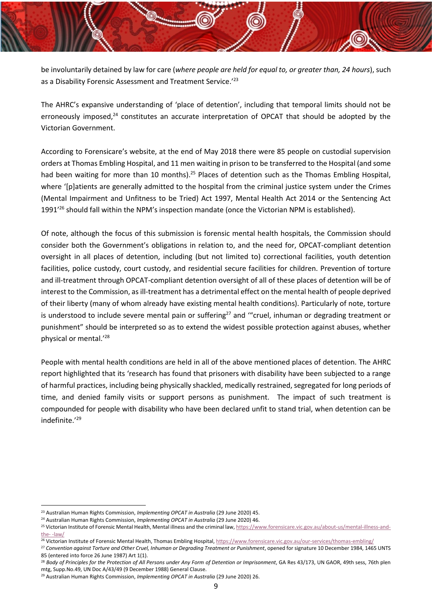be involuntarily detained by law for care (*where people are held for equal to, or greater than, 24 hours*), such as a Disability Forensic Assessment and Treatment Service.<sup>'23</sup>

The AHRC's expansive understanding of 'place of detention', including that temporal limits should not be erroneously imposed, $24$  constitutes an accurate interpretation of OPCAT that should be adopted by the Victorian Government.

According to Forensicare's website, at the end of May 2018 there were 85 people on custodial supervision orders at Thomas Embling Hospital, and 11 men waiting in prison to be transferred to the Hospital (and some had been waiting for more than 10 months).<sup>25</sup> Places of detention such as the Thomas Embling Hospital, where '[p]atients are generally admitted to the hospital from the criminal justice system under the Crimes (Mental Impairment and Unfitness to be Tried) Act 1997, Mental Health Act 2014 or the Sentencing Act 1991<sup>'26</sup> should fall within the NPM's inspection mandate (once the Victorian NPM is established).

Of note, although the focus of this submission is forensic mental health hospitals, the Commission should consider both the Government's obligations in relation to, and the need for, OPCAT-compliant detention oversight in all places of detention, including (but not limited to) correctional facilities, youth detention facilities, police custody, court custody, and residential secure facilities for children. Prevention of torture and ill-treatment through OPCAT-compliant detention oversight of all of these places of detention will be of interest to the Commission, as ill-treatment has a detrimental effect on the mental health of people deprived of their liberty (many of whom already have existing mental health conditions). Particularly of note, torture is understood to include severe mental pain or suffering<sup>27</sup> and "cruel, inhuman or degrading treatment or punishment" should be interpreted so as to extend the widest possible protection against abuses, whether physical or mental.'<sup>28</sup>

People with mental health conditions are held in all of the above mentioned places of detention. The AHRC report highlighted that its 'research has found that prisoners with disability have been subjected to a range of harmful practices, including being physically shackled, medically restrained, segregated for long periods of time, and denied family visits or support persons as punishment. The impact of such treatment is compounded for people with disability who have been declared unfit to stand trial, when detention can be indefinite.' 29

<sup>23</sup> Australian Human Rights Commission, *Implementing OPCAT in Australia* (29 June 2020) 45.

<sup>24</sup> Australian Human Rights Commission, *Implementing OPCAT in Australia* (29 June 2020) 46.

<sup>&</sup>lt;sup>25</sup> Victorian Institute of Forensic Mental Health, Mental illness and the criminal law, [https://www.forensicare.vic.gov.au/about-us/mental-illness-and](https://www.forensicare.vic.gov.au/about-us/mental-illness-and-the-criminal-law/)the- [-law/](https://www.forensicare.vic.gov.au/about-us/mental-illness-and-the-criminal-law/)

<sup>&</sup>lt;sup>26</sup> Victorian Institute of Forensic Mental Health, Thomas Embling Hospital, <https://www.forensicare.vic.gov.au/our-services/thomas-embling/>

<sup>&</sup>lt;sup>27</sup> Convention against Torture and Other Cruel, Inhuman or Degrading Treatment or Punishment, opened for signature 10 December 1984, 1465 UNTS 85 (entered into force 26 June 1987) Art 1(1).

<sup>&</sup>lt;sup>28</sup> Body of Principles for the Protection of All Persons under Any Form of Detention or Imprisonment. GA Res 43/173, UN GAOR, 49th sess, 76th plen mtg, Supp.No.49, UN Doc A/43/49 (9 December 1988) General Clause.

<sup>29</sup> Australian Human Rights Commission, *Implementing OPCAT in Australia* (29 June 2020) 26.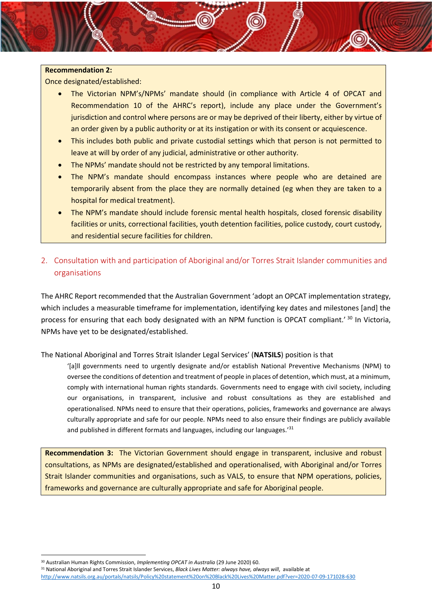### **Recommendation 2:**

Once designated/established:

- The Victorian NPM's/NPMs' mandate should (in compliance with Article 4 of OPCAT and Recommendation 10 of the AHRC's report), include any place under the Government's jurisdiction and control where persons are or may be deprived of their liberty, either by virtue of an order given by a public authority or at its instigation or with its consent or acquiescence.
- This includes both public and private custodial settings which that person is not permitted to leave at will by order of any judicial, administrative or other authority.
- The NPMs' mandate should not be restricted by any temporal limitations.
- The NPM's mandate should encompass instances where people who are detained are temporarily absent from the place they are normally detained (eg when they are taken to a hospital for medical treatment).
- The NPM's mandate should include forensic mental health hospitals, closed forensic disability facilities or units, correctional facilities, youth detention facilities, police custody, court custody, and residential secure facilities for children.
- <span id="page-10-0"></span>2. Consultation with and participation of Aboriginal and/or Torres Strait Islander communities and organisations

The AHRC Report recommended that the Australian Government 'adopt an OPCAT implementation strategy, which includes a measurable timeframe for implementation, identifying key dates and milestones [and] the process for ensuring that each body designated with an NPM function is OPCAT compliant.<sup>' 30</sup> In Victoria, NPMs have yet to be designated/established.

The National Aboriginal and Torres Strait Islander Legal Services' (**NATSILS**) position is that

'[a]ll governments need to urgently designate and/or establish National Preventive Mechanisms (NPM) to oversee the conditions of detention and treatment of people in places of detention, which must, at a minimum, comply with international human rights standards. Governments need to engage with civil society, including our organisations, in transparent, inclusive and robust consultations as they are established and operationalised. NPMs need to ensure that their operations, policies, frameworks and governance are always culturally appropriate and safe for our people. NPMs need to also ensure their findings are publicly available and published in different formats and languages, including our languages.<sup>'31</sup>

**Recommendation 3:** The Victorian Government should engage in transparent, inclusive and robust consultations, as NPMs are designated/established and operationalised, with Aboriginal and/or Torres Strait Islander communities and organisations, such as VALS, to ensure that NPM operations, policies, frameworks and governance are culturally appropriate and safe for Aboriginal people.

<sup>30</sup> Australian Human Rights Commission, *Implementing OPCAT in Australia* (29 June 2020) 60.

<sup>31</sup> National Aboriginal and Torres Strait Islander Services, *Black Lives Matter: always have, always will*, available at <http://www.natsils.org.au/portals/natsils/Policy%20statement%20on%20Black%20Lives%20Matter.pdf?ver=2020-07-09-171028-630>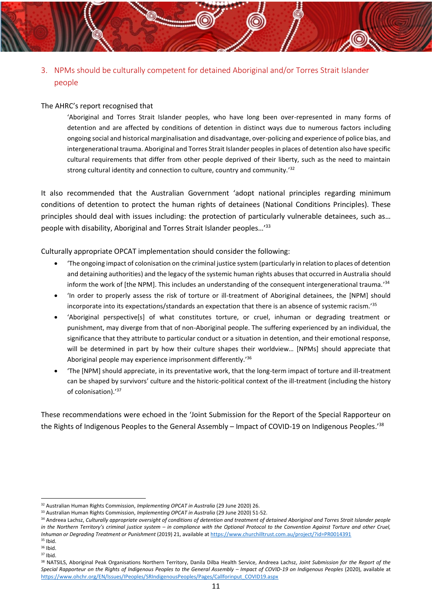<span id="page-11-0"></span>3. NPMs should be culturally competent for detained Aboriginal and/or Torres Strait Islander people

### The AHRC's report recognised that

'Aboriginal and Torres Strait Islander peoples, who have long been over-represented in many forms of detention and are affected by conditions of detention in distinct ways due to numerous factors including ongoing social and historical marginalisation and disadvantage, over-policing and experience of police bias, and intergenerational trauma. Aboriginal and Torres Strait Islander peoples in places of detention also have specific cultural requirements that differ from other people deprived of their liberty, such as the need to maintain strong cultural identity and connection to culture, country and community.'<sup>32</sup>

It also recommended that the Australian Government 'adopt national principles regarding minimum conditions of detention to protect the human rights of detainees (National Conditions Principles). These principles should deal with issues including: the protection of particularly vulnerable detainees, such as… people with disability, Aboriginal and Torres Strait Islander peoples…' 33

Culturally appropriate OPCAT implementation should consider the following:

- 'The ongoing impact of colonisation on the criminal justice system (particularly in relation to places of detention and detaining authorities) and the legacy of the systemic human rights abuses that occurred in Australia should inform the work of [the NPM]. This includes an understanding of the consequent intergenerational trauma.'<sup>34</sup>
- 'In order to properly assess the risk of torture or ill-treatment of Aboriginal detainees, the [NPM] should incorporate into its expectations/standards an expectation that there is an absence of systemic racism.' 35
- 'Aboriginal perspective[s] of what constitutes torture, or cruel, inhuman or degrading treatment or punishment, may diverge from that of non-Aboriginal people. The suffering experienced by an individual, the significance that they attribute to particular conduct or a situation in detention, and their emotional response, will be determined in part by how their culture shapes their worldview… [NPMs] should appreciate that Aboriginal people may experience imprisonment differently.<sup>'36</sup>
- 'The [NPM] should appreciate, in its preventative work, that the long-term impact of torture and ill-treatment can be shaped by survivors' culture and the historic-political context of the ill-treatment (including the history of colonisation).' 37

These recommendations were echoed in the 'Joint Submission for the Report of the Special Rapporteur on the Rights of Indigenous Peoples to the General Assembly – Impact of COVID-19 on Indigenous Peoples.'<sup>38</sup>

<sup>32</sup> Australian Human Rights Commission, *Implementing OPCAT in Australia* (29 June 2020) 26.

<sup>&</sup>lt;sup>33</sup> Australian Human Rights Commission, *Implementing OPCAT in Australia* (29 June 2020) 51-52.

<sup>34</sup> Andreea Lachsz, *Culturally appropriate oversight of conditions of detention and treatment of detained Aboriginal and Torres Strait Islander people in the Northern Territory's criminal justice system – in compliance with the Optional Protocol to the Convention Against Torture and other Cruel, Inhuman or Degrading Treatment or Punishment* (2019) 21, available a[t https://www.churchilltrust.com.au/project/?id=PR0014391](https://www.churchilltrust.com.au/project/?id=PR0014391)

 $35$  Ibid.

<sup>36</sup> Ibid.  $37$  Ihid.

<sup>38</sup> NATSILS, Aboriginal Peak Organisations Northern Territory, Danila Dilba Health Service, Andreea Lachsz, *Joint Submission for the Report of the*  Special Rapporteur on the Rights of Indigenous Peoples to the General Assembly – Impact of COVID-19 on Indigenous Peoples (2020), available at [https://www.ohchr.org/EN/Issues/IPeoples/SRIndigenousPeoples/Pages/Callforinput\\_COVID19.aspx](https://www.ohchr.org/EN/Issues/IPeoples/SRIndigenousPeoples/Pages/Callforinput_COVID19.aspx)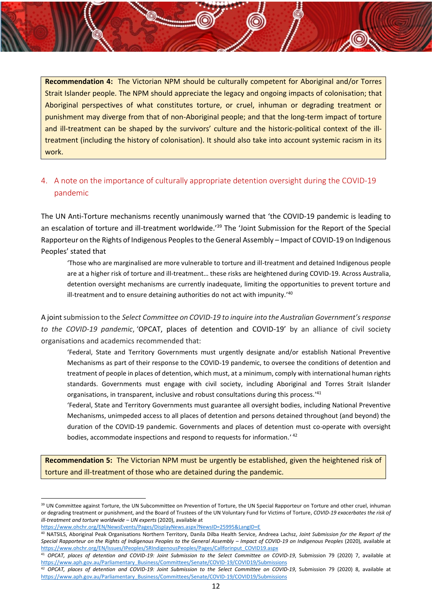**Recommendation 4:** The Victorian NPM should be culturally competent for Aboriginal and/or Torres Strait Islander people. The NPM should appreciate the legacy and ongoing impacts of colonisation; that Aboriginal perspectives of what constitutes torture, or cruel, inhuman or degrading treatment or punishment may diverge from that of non-Aboriginal people; and that the long-term impact of torture and ill-treatment can be shaped by the survivors' culture and the historic-political context of the illtreatment (including the history of colonisation). It should also take into account systemic racism in its work.

# <span id="page-12-0"></span>4. A note on the importance of culturally appropriate detention oversight during the COVID-19 pandemic

The UN Anti-Torture mechanisms recently unanimously warned that 'the COVID-19 pandemic is leading to an escalation of torture and ill-treatment worldwide.<sup>'39</sup> The 'Joint Submission for the Report of the Special Rapporteur on the Rights of Indigenous Peoples to the General Assembly – Impact of COVID-19 on Indigenous Peoples' stated that

'Those who are marginalised are more vulnerable to torture and ill-treatment and detained Indigenous people are at a higher risk of torture and ill-treatment… these risks are heightened during COVID-19. Across Australia, detention oversight mechanisms are currently inadequate, limiting the opportunities to prevent torture and ill-treatment and to ensure detaining authorities do not act with impunity.'<sup>40</sup>

A joint submission to the *Select Committee on COVID-19 to inquire into the Australian Government's response to the COVID-19 pandemic*, 'OPCAT, places of detention and COVID-19' by an alliance of civil society organisations and academics recommended that:

'Federal, State and Territory Governments must urgently designate and/or establish National Preventive Mechanisms as part of their response to the COVID-19 pandemic, to oversee the conditions of detention and treatment of people in places of detention, which must, at a minimum, comply with international human rights standards. Governments must engage with civil society, including Aboriginal and Torres Strait Islander organisations, in transparent, inclusive and robust consultations during this process.<sup>'41</sup>

'Federal, State and Territory Governments must guarantee all oversight bodies, including National Preventive Mechanisms, unimpeded access to all places of detention and persons detained throughout (and beyond) the duration of the COVID-19 pandemic. Governments and places of detention must co-operate with oversight bodies, accommodate inspections and respond to requests for information.' 42

**Recommendation 5:** The Victorian NPM must be urgently be established, given the heightened risk of torture and ill-treatment of those who are detained during the pandemic.

```
https://www.ohchr.org/EN/NewsEvents/Pages/DisplayNews.aspx?NewsID=25995&LangID=E
```
<sup>&</sup>lt;sup>39</sup> UN Committee against Torture, the UN Subcommittee on Prevention of Torture, the UN Special Rapporteur on Torture and other cruel, inhuman or degrading treatment or punishment, and the Board of Trustees of the UN Voluntary Fund for Victims of Torture, *COVID-19 exacerbates the risk of ill-treatment and torture worldwide – UN experts* (2020), available at

<sup>40</sup> NATSILS, Aboriginal Peak Organisations Northern Territory, Danila Dilba Health Service, Andreea Lachsz, *Joint Submission for the Report of the*  Special Rapporteur on the Rights of Indigenous Peoples to the General Assembly – *Impact of COVID-19 on Indigenous Peoples* (2020), available at [https://www.ohchr.org/EN/Issues/IPeoples/SRIndigenousPeoples/Pages/Callforinput\\_COVID19.aspx](https://www.ohchr.org/EN/Issues/IPeoples/SRIndigenousPeoples/Pages/Callforinput_COVID19.aspx)

<sup>41</sup> *OPCAT, places of detention and COVID-19: Joint Submission to the Select Committee on COVID-19*, Submission 79 (2020) 7, available at [https://www.aph.gov.au/Parliamentary\\_Business/Committees/Senate/COVID-19/COVID19/Submissions](https://www.aph.gov.au/Parliamentary_Business/Committees/Senate/COVID-19/COVID19/Submissions)

<sup>&</sup>lt;sup>42</sup> OPCAT, places of detention and COVID-19: Joint Submission to the Select Committee on COVID-19, Submission 79 (2020) 8, available at [https://www.aph.gov.au/Parliamentary\\_Business/Committees/Senate/COVID-19/COVID19/Submissions](https://www.aph.gov.au/Parliamentary_Business/Committees/Senate/COVID-19/COVID19/Submissions)